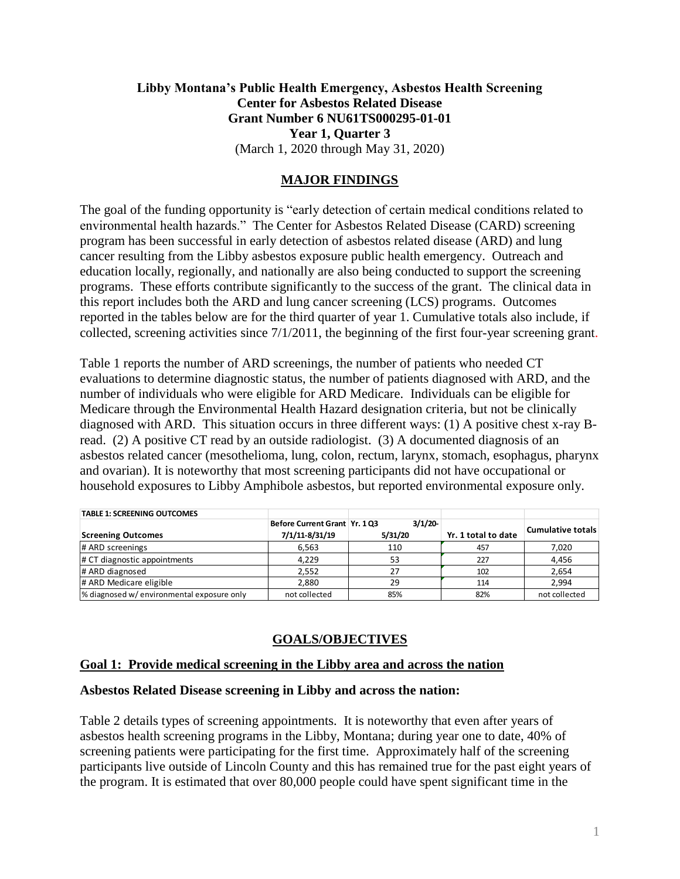### **Libby Montana's Public Health Emergency, Asbestos Health Screening Center for Asbestos Related Disease Grant Number 6 NU61TS000295-01-01 Year 1, Quarter 3** (March 1, 2020 through May 31, 2020)

### **MAJOR FINDINGS**

The goal of the funding opportunity is "early detection of certain medical conditions related to environmental health hazards." The Center for Asbestos Related Disease (CARD) screening program has been successful in early detection of asbestos related disease (ARD) and lung cancer resulting from the Libby asbestos exposure public health emergency. Outreach and education locally, regionally, and nationally are also being conducted to support the screening programs. These efforts contribute significantly to the success of the grant. The clinical data in this report includes both the ARD and lung cancer screening (LCS) programs. Outcomes reported in the tables below are for the third quarter of year 1. Cumulative totals also include, if collected, screening activities since 7/1/2011, the beginning of the first four-year screening grant.

Table 1 reports the number of ARD screenings, the number of patients who needed CT evaluations to determine diagnostic status, the number of patients diagnosed with ARD, and the number of individuals who were eligible for ARD Medicare. Individuals can be eligible for Medicare through the Environmental Health Hazard designation criteria, but not be clinically diagnosed with ARD. This situation occurs in three different ways: (1) A positive chest x-ray Bread. (2) A positive CT read by an outside radiologist. (3) A documented diagnosis of an asbestos related cancer (mesothelioma, lung, colon, rectum, larynx, stomach, esophagus, pharynx and ovarian). It is noteworthy that most screening participants did not have occupational or household exposures to Libby Amphibole asbestos, but reported environmental exposure only.

| <b>TABLE 1: SCREENING OUTCOMES</b>         |                                 |         |                     |                          |
|--------------------------------------------|---------------------------------|---------|---------------------|--------------------------|
|                                            | Before Current Grant   Yr. 1 Q3 | 3/1/20  |                     | <b>Cumulative totals</b> |
| <b>Screening Outcomes</b>                  | 7/1/11-8/31/19                  | 5/31/20 | Yr. 1 total to date |                          |
| # ARD screenings                           | 6,563                           | 110     | 457                 | 7,020                    |
| # CT diagnostic appointments               | 4,229                           | 53      | 227                 | 4,456                    |
| # ARD diagnosed                            | 2,552                           | 27      | 102                 | 2,654                    |
| # ARD Medicare eligible                    | 2.880                           | 29      | 114                 | 2.994                    |
| % diagnosed w/ environmental exposure only | not collected                   | 85%     | 82%                 | not collected            |

# **GOALS/OBJECTIVES**

### **Goal 1: Provide medical screening in the Libby area and across the nation**

#### **Asbestos Related Disease screening in Libby and across the nation:**

Table 2 details types of screening appointments. It is noteworthy that even after years of asbestos health screening programs in the Libby, Montana; during year one to date, 40% of screening patients were participating for the first time. Approximately half of the screening participants live outside of Lincoln County and this has remained true for the past eight years of the program. It is estimated that over 80,000 people could have spent significant time in the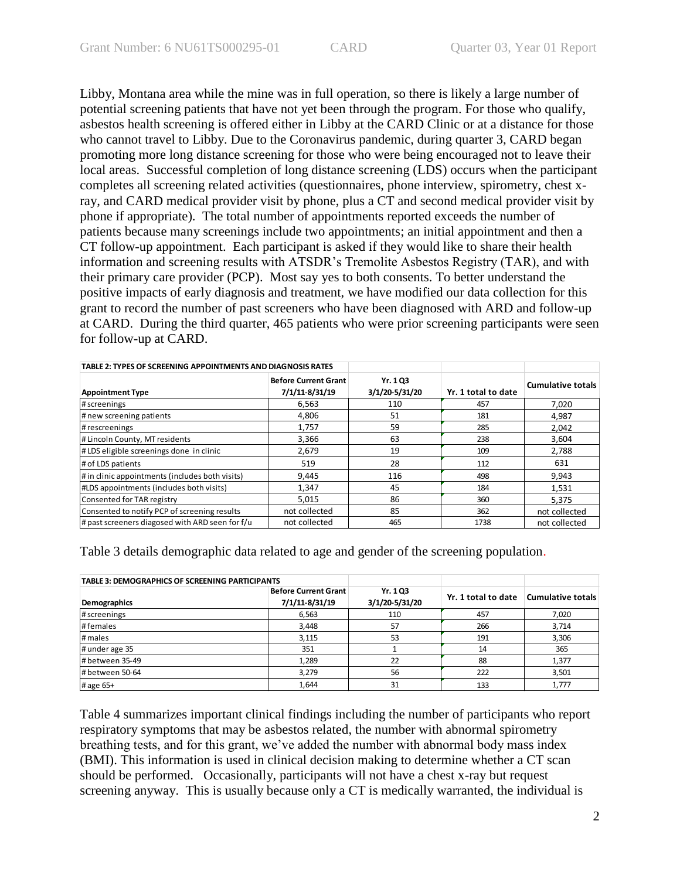Libby, Montana area while the mine was in full operation, so there is likely a large number of potential screening patients that have not yet been through the program. For those who qualify, asbestos health screening is offered either in Libby at the CARD Clinic or at a distance for those who cannot travel to Libby. Due to the Coronavirus pandemic, during quarter 3, CARD began promoting more long distance screening for those who were being encouraged not to leave their local areas. Successful completion of long distance screening (LDS) occurs when the participant completes all screening related activities (questionnaires, phone interview, spirometry, chest xray, and CARD medical provider visit by phone, plus a CT and second medical provider visit by phone if appropriate). The total number of appointments reported exceeds the number of patients because many screenings include two appointments; an initial appointment and then a CT follow-up appointment. Each participant is asked if they would like to share their health information and screening results with ATSDR's Tremolite Asbestos Registry (TAR), and with their primary care provider (PCP). Most say yes to both consents. To better understand the positive impacts of early diagnosis and treatment, we have modified our data collection for this grant to record the number of past screeners who have been diagnosed with ARD and follow-up at CARD. During the third quarter, 465 patients who were prior screening participants were seen for follow-up at CARD.

| TABLE 2: TYPES OF SCREENING APPOINTMENTS AND DIAGNOSIS RATES |                                               |                            |                     |                   |
|--------------------------------------------------------------|-----------------------------------------------|----------------------------|---------------------|-------------------|
| <b>Appointment Type</b>                                      | <b>Before Current Grant</b><br>7/1/11-8/31/19 | Yr. 1 Q3<br>3/1/20-5/31/20 | Yr. 1 total to date | Cumulative totals |
| # screenings                                                 | 6,563                                         | 110                        | 457                 | 7.020             |
| # new screening patients                                     | 4,806                                         | 51                         | 181                 | 4,987             |
| # rescreenings                                               | 1,757                                         | 59                         | 285                 | 2,042             |
| # Lincoln County, MT residents                               | 3,366                                         | 63                         | 238                 | 3,604             |
| #LDS eligible screenings done in clinic                      | 2,679                                         | 19                         | 109                 | 2,788             |
| # of LDS patients                                            | 519                                           | 28                         | 112                 | 631               |
| # in clinic appointments (includes both visits)              | 9,445                                         | 116                        | 498                 | 9,943             |
| #LDS appointments (includes both visits)                     | 1,347                                         | 45                         | 184                 | 1,531             |
| Consented for TAR registry                                   | 5,015                                         | 86                         | 360                 | 5.375             |
| Consented to notify PCP of screening results                 | not collected                                 | 85                         | 362                 | not collected     |
| # past screeners diagosed with ARD seen for f/u              | not collected                                 | 465                        | 1738                | not collected     |

Table 3 details demographic data related to age and gender of the screening population.

| <b>TABLE 3: DEMOGRAPHICS OF SCREENING PARTICIPANTS</b>        |       |                            |                     |                          |
|---------------------------------------------------------------|-------|----------------------------|---------------------|--------------------------|
| <b>Before Current Grant</b><br>7/1/11-8/31/19<br>Demographics |       | Yr. 1 Q3<br>3/1/20-5/31/20 | Yr. 1 total to date | <b>Cumulative totals</b> |
| # screenings                                                  | 6,563 | 110                        | 457                 | 7,020                    |
| #females                                                      | 3,448 | 57                         | 266                 | 3,714                    |
| # males                                                       | 3,115 | 53                         | 191                 | 3,306                    |
| # under age 35                                                | 351   |                            | 14                  | 365                      |
| # between 35-49                                               | 1,289 | 22                         | 88                  | 1,377                    |
| # between 50-64                                               | 3,279 | 56                         | 222                 | 3,501                    |
| # age 65+                                                     | 1,644 | 31                         | 133                 | 1,777                    |

Table 4 summarizes important clinical findings including the number of participants who report respiratory symptoms that may be asbestos related, the number with abnormal spirometry breathing tests, and for this grant, we've added the number with abnormal body mass index (BMI). This information is used in clinical decision making to determine whether a CT scan should be performed. Occasionally, participants will not have a chest x-ray but request screening anyway. This is usually because only a CT is medically warranted, the individual is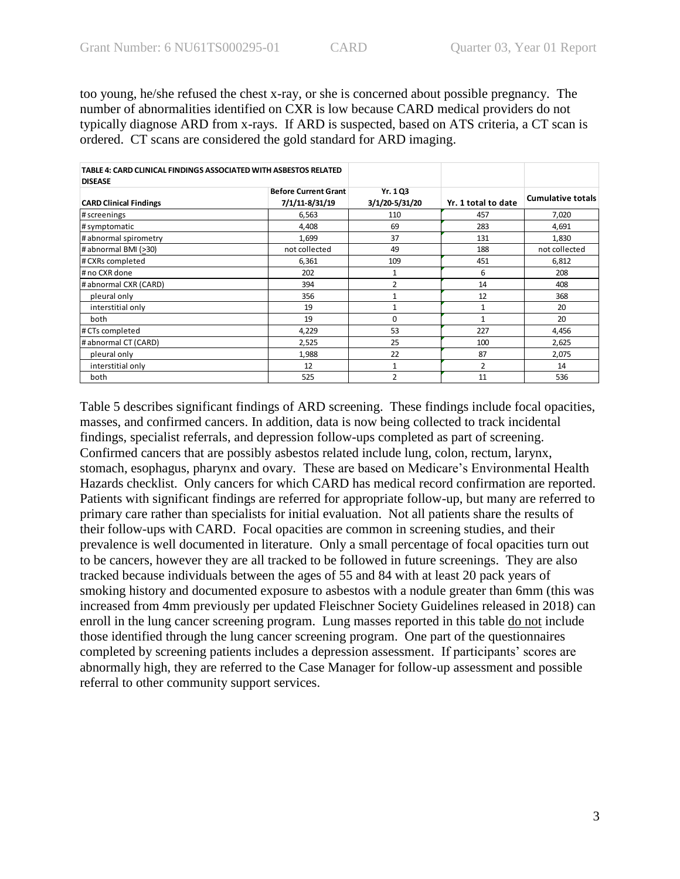too young, he/she refused the chest x-ray, or she is concerned about possible pregnancy. The number of abnormalities identified on CXR is low because CARD medical providers do not typically diagnose ARD from x-rays. If ARD is suspected, based on ATS criteria, a CT scan is ordered. CT scans are considered the gold standard for ARD imaging.

| TABLE 4: CARD CLINICAL FINDINGS ASSOCIATED WITH ASBESTOS RELATED |                             |                |                     |                          |
|------------------------------------------------------------------|-----------------------------|----------------|---------------------|--------------------------|
| <b>DISEASE</b>                                                   |                             |                |                     |                          |
|                                                                  | <b>Before Current Grant</b> | Yr. 1 Q3       |                     |                          |
| <b>CARD Clinical Findings</b>                                    | 7/1/11-8/31/19              | 3/1/20-5/31/20 | Yr. 1 total to date | <b>Cumulative totals</b> |
| # screenings                                                     | 6,563                       | 110            | 457                 | 7,020                    |
| # symptomatic                                                    | 4,408                       | 69             | 283                 | 4,691                    |
| # abnormal spirometry                                            | 1,699                       | 37             | 131                 | 1,830                    |
| # abnormal BMI (>30)                                             | not collected               | 49             | 188                 | not collected            |
| # CXRs completed                                                 | 6,361                       | 109            | 451                 | 6,812                    |
| # no CXR done                                                    | 202                         | 1              | 6                   | 208                      |
| # abnormal CXR (CARD)                                            | 394                         | $\overline{2}$ | 14                  | 408                      |
| pleural only                                                     | 356                         | 1              | 12                  | 368                      |
| interstitial only                                                | 19                          | 1              | 1                   | 20                       |
| both                                                             | 19                          | $\Omega$       | $\mathbf{1}$        | 20                       |
| # CTs completed                                                  | 4,229                       | 53<br>227      |                     | 4,456                    |
| # abnormal CT (CARD)                                             | 2,525                       | 25             | 100                 | 2,625                    |
| pleural only                                                     | 1,988                       | 22             | 87                  | 2,075                    |
| interstitial only                                                | 12                          | 1              | 2                   | 14                       |
| both                                                             | 525                         | $\overline{2}$ | 11                  | 536                      |

Table 5 describes significant findings of ARD screening. These findings include focal opacities, masses, and confirmed cancers. In addition, data is now being collected to track incidental findings, specialist referrals, and depression follow-ups completed as part of screening. Confirmed cancers that are possibly asbestos related include lung, colon, rectum, larynx, stomach, esophagus, pharynx and ovary. These are based on Medicare's Environmental Health Hazards checklist. Only cancers for which CARD has medical record confirmation are reported. Patients with significant findings are referred for appropriate follow-up, but many are referred to primary care rather than specialists for initial evaluation. Not all patients share the results of their follow-ups with CARD. Focal opacities are common in screening studies, and their prevalence is well documented in literature. Only a small percentage of focal opacities turn out to be cancers, however they are all tracked to be followed in future screenings. They are also tracked because individuals between the ages of 55 and 84 with at least 20 pack years of smoking history and documented exposure to asbestos with a nodule greater than 6mm (this was increased from 4mm previously per updated Fleischner Society Guidelines released in 2018) can enroll in the lung cancer screening program. Lung masses reported in this table do not include those identified through the lung cancer screening program. One part of the questionnaires completed by screening patients includes a depression assessment. If participants' scores are abnormally high, they are referred to the Case Manager for follow-up assessment and possible referral to other community support services.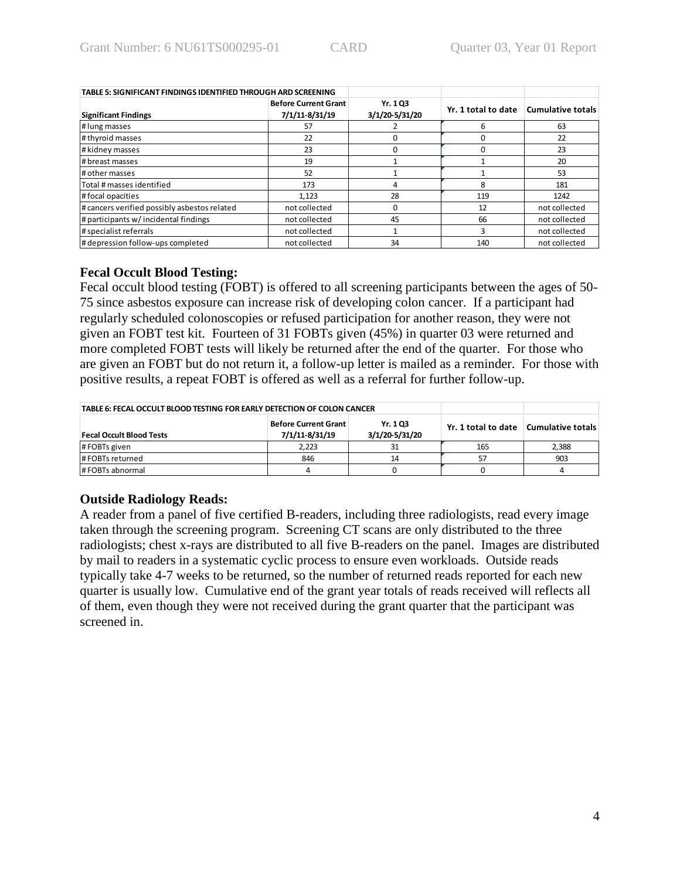| TABLE 5: SIGNIFICANT FINDINGS IDENTIFIED THROUGH ARD SCREENING |                                               |                            |                     |                          |
|----------------------------------------------------------------|-----------------------------------------------|----------------------------|---------------------|--------------------------|
| <b>Significant Findings</b>                                    | <b>Before Current Grant</b><br>7/1/11-8/31/19 | Yr. 1 Q3<br>3/1/20-5/31/20 | Yr. 1 total to date | <b>Cumulative totals</b> |
| # lung masses                                                  | 57                                            |                            | 6                   | 63                       |
| # thyroid masses                                               | 22                                            |                            |                     | 22                       |
| # kidney masses                                                | 23                                            |                            |                     | 23                       |
| # breast masses                                                | 19                                            |                            |                     | 20                       |
| # other masses                                                 | 52                                            |                            |                     | 53                       |
| Total # masses identified                                      | 173                                           |                            | 8                   | 181                      |
| #focal opacities                                               | 1,123                                         | 28                         | 119                 | 1242                     |
| # cancers verified possibly asbestos related                   | not collected                                 |                            | 12                  | not collected            |
| # participants w/ incidental findings                          | not collected                                 | 45                         | 66                  | not collected            |
| # specialist referrals                                         | not collected                                 |                            | 3                   | not collected            |
| # depression follow-ups completed                              | not collected                                 | 34                         | 140                 | not collected            |

### **Fecal Occult Blood Testing:**

Fecal occult blood testing (FOBT) is offered to all screening participants between the ages of 50- 75 since asbestos exposure can increase risk of developing colon cancer. If a participant had regularly scheduled colonoscopies or refused participation for another reason, they were not given an FOBT test kit. Fourteen of 31 FOBTs given (45%) in quarter 03 were returned and more completed FOBT tests will likely be returned after the end of the quarter. For those who are given an FOBT but do not return it, a follow-up letter is mailed as a reminder. For those with positive results, a repeat FOBT is offered as well as a referral for further follow-up.

| TABLE 6: FECAL OCCULT BLOOD TESTING FOR EARLY DETECTION OF COLON CANCER |                     |                   |     |       |
|-------------------------------------------------------------------------|---------------------|-------------------|-----|-------|
| <b>Fecal Occult Blood Tests</b>                                         | Yr. 1 total to date | Cumulative totals |     |       |
| # FOBTs given                                                           | 2,223               |                   | 165 | 2,388 |
| #FOBTs returned                                                         | 846                 | 14                | 57  | 903   |
| #FOBTs abnormal                                                         |                     |                   |     |       |

# **Outside Radiology Reads:**

A reader from a panel of five certified B-readers, including three radiologists, read every image taken through the screening program. Screening CT scans are only distributed to the three radiologists; chest x-rays are distributed to all five B-readers on the panel. Images are distributed by mail to readers in a systematic cyclic process to ensure even workloads. Outside reads typically take 4-7 weeks to be returned, so the number of returned reads reported for each new quarter is usually low. Cumulative end of the grant year totals of reads received will reflects all of them, even though they were not received during the grant quarter that the participant was screened in.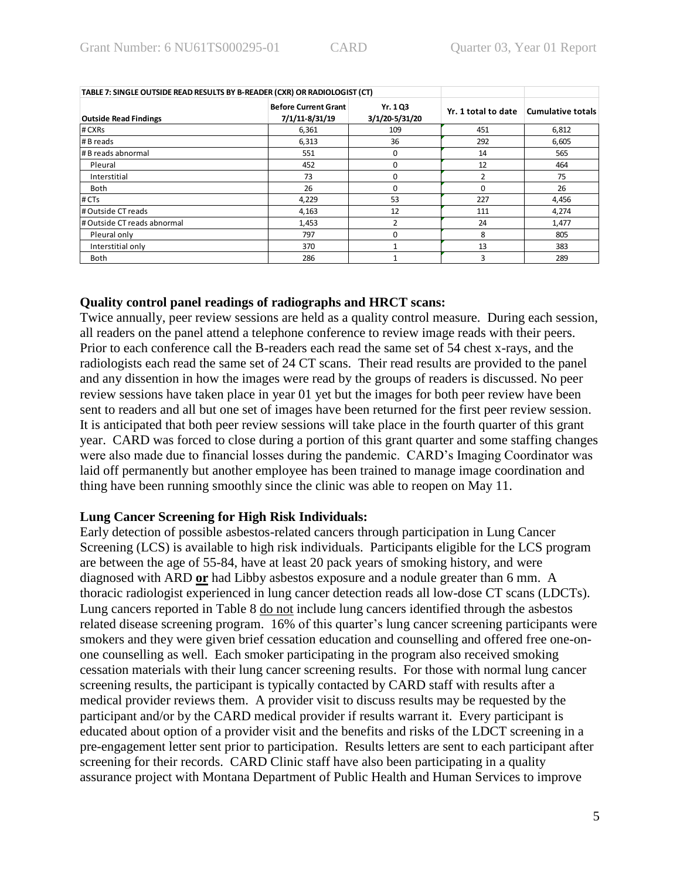| TABLE 7: SINGLE OUTSIDE READ RESULTS BY B-READER (CXR) OR RADIOLOGIST (CT) |                                               |                            |                     |                   |  |
|----------------------------------------------------------------------------|-----------------------------------------------|----------------------------|---------------------|-------------------|--|
| <b>Outside Read Findings</b>                                               | <b>Before Current Grant</b><br>7/1/11-8/31/19 | Yr. 1 Q3<br>3/1/20-5/31/20 | Yr. 1 total to date | Cumulative totals |  |
| # CXRs                                                                     | 6,361                                         | 109                        | 451                 | 6,812             |  |
| # B reads                                                                  | 6,313                                         | 36                         | 292                 | 6,605             |  |
| # B reads abnormal                                                         | 551                                           | 0                          |                     | 565               |  |
| Pleural                                                                    | 452                                           |                            | 12                  | 464               |  |
| Interstitial                                                               | 73                                            |                            | 2                   | 75                |  |
| Both                                                                       | 26                                            |                            | $\Omega$            | 26                |  |
| # CTs                                                                      | 4,229                                         | 53                         | 227                 | 4,456             |  |
| # Outside CT reads                                                         | 4,163                                         | 12                         | 111                 | 4,274             |  |
| # Outside CT reads abnormal                                                | 1,453                                         | 2                          | 24                  | 1,477             |  |
| Pleural only                                                               | 797                                           |                            | 8                   | 805               |  |
| Interstitial only                                                          | 370                                           |                            | 13                  | 383               |  |
| Both                                                                       | 286                                           |                            | 3                   | 289               |  |

#### **Quality control panel readings of radiographs and HRCT scans:**

Twice annually, peer review sessions are held as a quality control measure. During each session, all readers on the panel attend a telephone conference to review image reads with their peers. Prior to each conference call the B-readers each read the same set of 54 chest x-rays, and the radiologists each read the same set of 24 CT scans. Their read results are provided to the panel and any dissention in how the images were read by the groups of readers is discussed. No peer review sessions have taken place in year 01 yet but the images for both peer review have been sent to readers and all but one set of images have been returned for the first peer review session. It is anticipated that both peer review sessions will take place in the fourth quarter of this grant year. CARD was forced to close during a portion of this grant quarter and some staffing changes were also made due to financial losses during the pandemic. CARD's Imaging Coordinator was laid off permanently but another employee has been trained to manage image coordination and thing have been running smoothly since the clinic was able to reopen on May 11.

#### **Lung Cancer Screening for High Risk Individuals:**

Early detection of possible asbestos-related cancers through participation in Lung Cancer Screening (LCS) is available to high risk individuals. Participants eligible for the LCS program are between the age of 55-84, have at least 20 pack years of smoking history, and were diagnosed with ARD **or** had Libby asbestos exposure and a nodule greater than 6 mm. A thoracic radiologist experienced in lung cancer detection reads all low-dose CT scans (LDCTs). Lung cancers reported in Table 8 do not include lung cancers identified through the asbestos related disease screening program. 16% of this quarter's lung cancer screening participants were smokers and they were given brief cessation education and counselling and offered free one-onone counselling as well. Each smoker participating in the program also received smoking cessation materials with their lung cancer screening results. For those with normal lung cancer screening results, the participant is typically contacted by CARD staff with results after a medical provider reviews them. A provider visit to discuss results may be requested by the participant and/or by the CARD medical provider if results warrant it. Every participant is educated about option of a provider visit and the benefits and risks of the LDCT screening in a pre-engagement letter sent prior to participation. Results letters are sent to each participant after screening for their records. CARD Clinic staff have also been participating in a quality assurance project with Montana Department of Public Health and Human Services to improve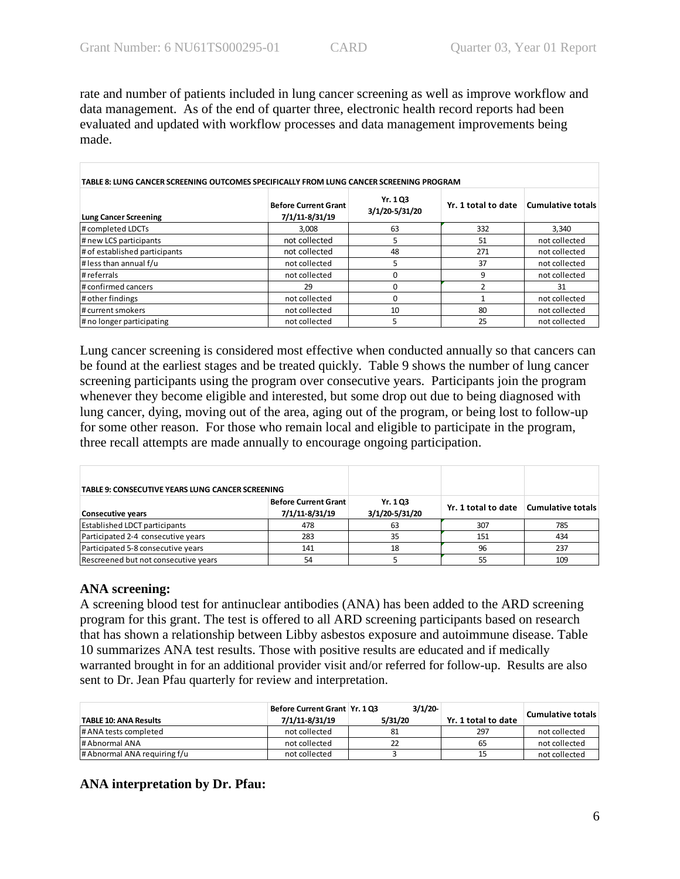rate and number of patients included in lung cancer screening as well as improve workflow and data management. As of the end of quarter three, electronic health record reports had been evaluated and updated with workflow processes and data management improvements being made.

| TABLE 8: LUNG CANCER SCREENING OUTCOMES SPECIFICALLY FROM LUNG CANCER SCREENING PROGRAM |                                               |                            |                     |                   |  |  |
|-----------------------------------------------------------------------------------------|-----------------------------------------------|----------------------------|---------------------|-------------------|--|--|
| <b>Lung Cancer Screening</b>                                                            | <b>Before Current Grant</b><br>7/1/11-8/31/19 | Yr. 1 Q3<br>3/1/20-5/31/20 | Yr. 1 total to date | Cumulative totals |  |  |
| # completed LDCTs                                                                       | 3.008                                         | 63                         | 332                 | 3.340             |  |  |
| # new LCS participants                                                                  | not collected                                 |                            | 51                  | not collected     |  |  |
| # of established participants                                                           | not collected                                 | 48                         | 271                 | not collected     |  |  |
| # less than annual f/u                                                                  | not collected                                 | 5                          | 37                  | not collected     |  |  |
| # referrals                                                                             | not collected                                 |                            | 9                   | not collected     |  |  |
| # confirmed cancers                                                                     | 29                                            |                            |                     | 31                |  |  |
| # other findings                                                                        | not collected                                 |                            |                     | not collected     |  |  |
| # current smokers                                                                       | not collected                                 | 10                         | 80                  | not collected     |  |  |
| # no longer participating                                                               | not collected                                 |                            | 25                  | not collected     |  |  |

Lung cancer screening is considered most effective when conducted annually so that cancers can be found at the earliest stages and be treated quickly. Table 9 shows the number of lung cancer screening participants using the program over consecutive years. Participants join the program whenever they become eligible and interested, but some drop out due to being diagnosed with lung cancer, dying, moving out of the area, aging out of the program, or being lost to follow-up for some other reason. For those who remain local and eligible to participate in the program, three recall attempts are made annually to encourage ongoing participation.

| TABLE 9: CONSECUTIVE YEARS LUNG CANCER SCREENING            |     |                            |                     |                   |
|-------------------------------------------------------------|-----|----------------------------|---------------------|-------------------|
| Before Current Grant<br>7/1/11-8/31/19<br>Consecutive years |     | Yr. 1 Q3<br>3/1/20-5/31/20 | Yr. 1 total to date | Cumulative totals |
| <b>Established LDCT participants</b>                        | 478 | 63                         | 307                 | 785               |
| Participated 2-4 consecutive years                          | 283 | 35                         | 151                 | 434               |
| Participated 5-8 consecutive years                          | 141 | 18                         | 96                  | 237               |
| Rescreened but not consecutive years                        | 54  |                            | 55                  | 109               |

### **ANA screening:**

A screening blood test for antinuclear antibodies (ANA) has been added to the ARD screening program for this grant. The test is offered to all ARD screening participants based on research that has shown a relationship between Libby asbestos exposure and autoimmune disease. Table 10 summarizes ANA test results. Those with positive results are educated and if medically warranted brought in for an additional provider visit and/or referred for follow-up. Results are also sent to Dr. Jean Pfau quarterly for review and interpretation.

|                              | Before Current Grant   Yr. 1 Q3 | 3/1/20  |                     | Cumulative totals |
|------------------------------|---------------------------------|---------|---------------------|-------------------|
| <b>TABLE 10: ANA Results</b> | 7/1/11-8/31/19                  | 5/31/20 | Yr. 1 total to date |                   |
| # ANA tests completed        | not collected                   | 81      | 297                 | not collected     |
| # Abnormal ANA               | not collected                   |         | 65                  | not collected     |
| # Abnormal ANA requiring f/u | not collected                   |         |                     | not collected     |

### **ANA interpretation by Dr. Pfau:**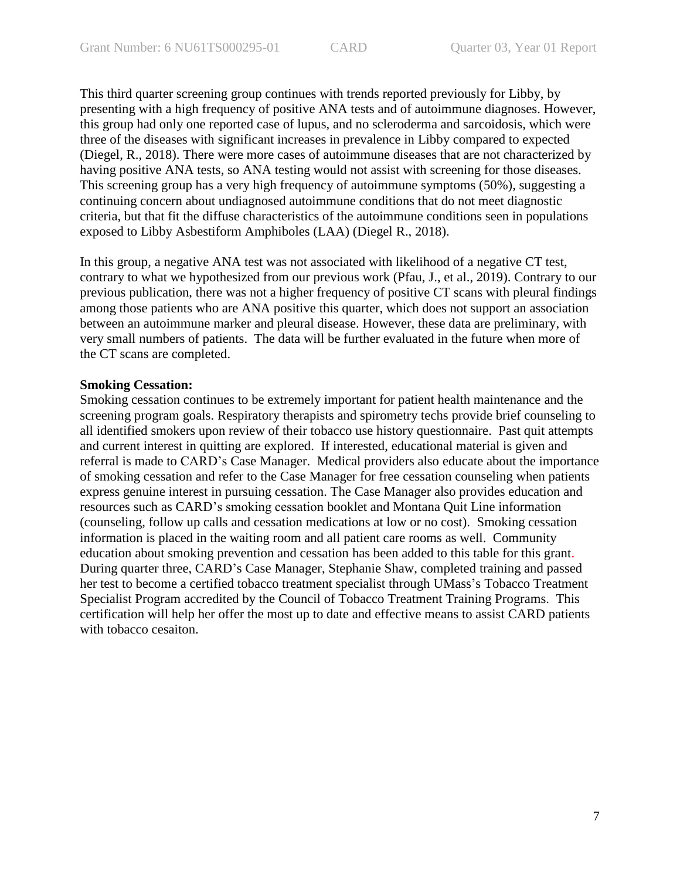This third quarter screening group continues with trends reported previously for Libby, by presenting with a high frequency of positive ANA tests and of autoimmune diagnoses. However, this group had only one reported case of lupus, and no scleroderma and sarcoidosis, which were three of the diseases with significant increases in prevalence in Libby compared to expected (Diegel, R., 2018). There were more cases of autoimmune diseases that are not characterized by having positive ANA tests, so ANA testing would not assist with screening for those diseases. This screening group has a very high frequency of autoimmune symptoms (50%), suggesting a continuing concern about undiagnosed autoimmune conditions that do not meet diagnostic criteria, but that fit the diffuse characteristics of the autoimmune conditions seen in populations exposed to Libby Asbestiform Amphiboles (LAA) (Diegel R., 2018).

In this group, a negative ANA test was not associated with likelihood of a negative CT test, contrary to what we hypothesized from our previous work (Pfau, J., et al., 2019). Contrary to our previous publication, there was not a higher frequency of positive CT scans with pleural findings among those patients who are ANA positive this quarter, which does not support an association between an autoimmune marker and pleural disease. However, these data are preliminary, with very small numbers of patients. The data will be further evaluated in the future when more of the CT scans are completed.

#### **Smoking Cessation:**

Smoking cessation continues to be extremely important for patient health maintenance and the screening program goals. Respiratory therapists and spirometry techs provide brief counseling to all identified smokers upon review of their tobacco use history questionnaire. Past quit attempts and current interest in quitting are explored. If interested, educational material is given and referral is made to CARD's Case Manager. Medical providers also educate about the importance of smoking cessation and refer to the Case Manager for free cessation counseling when patients express genuine interest in pursuing cessation. The Case Manager also provides education and resources such as CARD's smoking cessation booklet and Montana Quit Line information (counseling, follow up calls and cessation medications at low or no cost). Smoking cessation information is placed in the waiting room and all patient care rooms as well. Community education about smoking prevention and cessation has been added to this table for this grant. During quarter three, CARD's Case Manager, Stephanie Shaw, completed training and passed her test to become a certified tobacco treatment specialist through UMass's Tobacco Treatment Specialist Program accredited by the Council of Tobacco Treatment Training Programs. This certification will help her offer the most up to date and effective means to assist CARD patients with tobacco cesaiton.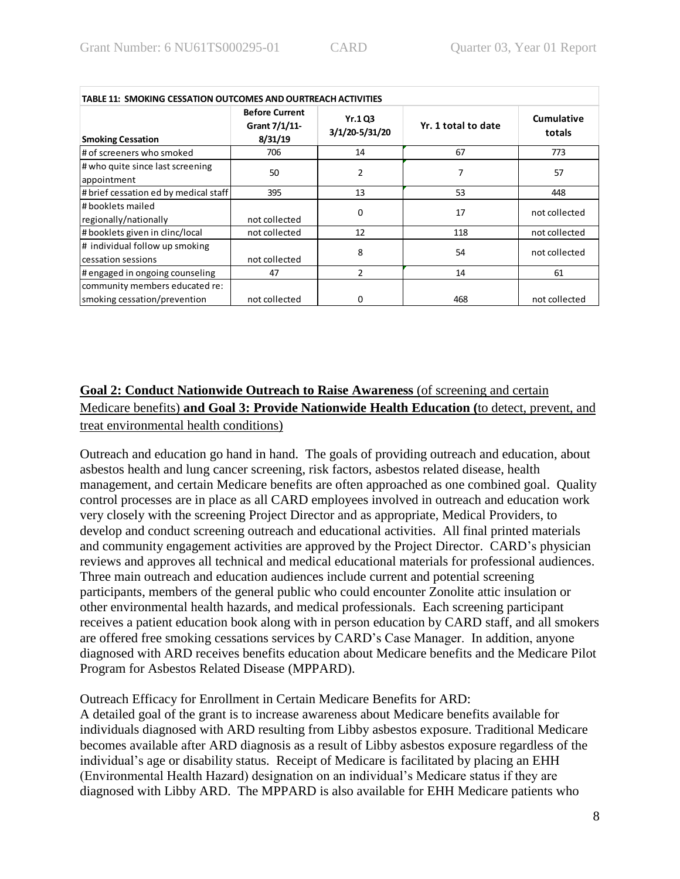| <b>TABLE 11: SMOKING CESSATION OUTCOMES AND OURTREACH ACTIVITIES</b> |                                                   |                                  |                     |                      |  |  |
|----------------------------------------------------------------------|---------------------------------------------------|----------------------------------|---------------------|----------------------|--|--|
| <b>Smoking Cessation</b>                                             | <b>Before Current</b><br>Grant 7/1/11-<br>8/31/19 | <b>Yr.1 Q3</b><br>3/1/20-5/31/20 | Yr. 1 total to date | Cumulative<br>totals |  |  |
| # of screeners who smoked                                            | 706                                               | 14                               | 67                  | 773                  |  |  |
| # who quite since last screening<br>appointment                      | 50                                                | 2                                | 7                   | 57                   |  |  |
| # brief cessation ed by medical staff                                | 395                                               | 13                               | 53                  | 448                  |  |  |
| # booklets mailed<br>regionally/nationally                           | not collected                                     | 0                                | 17                  | not collected        |  |  |
| # booklets given in clinc/local                                      | not collected                                     | 12                               | 118                 | not collected        |  |  |
| # individual follow up smoking<br>cessation sessions                 | not collected                                     | 8                                | 54                  | not collected        |  |  |
| # engaged in ongoing counseling                                      | 47                                                | $\overline{2}$                   | 14                  | 61                   |  |  |
| community members educated re:<br>smoking cessation/prevention       | not collected                                     | 0                                | 468                 | not collected        |  |  |

# **Goal 2: Conduct Nationwide Outreach to Raise Awareness** (of screening and certain Medicare benefits) **and Goal 3: Provide Nationwide Health Education (**to detect, prevent, and treat environmental health conditions)

Outreach and education go hand in hand. The goals of providing outreach and education, about asbestos health and lung cancer screening, risk factors, asbestos related disease, health management, and certain Medicare benefits are often approached as one combined goal. Quality control processes are in place as all CARD employees involved in outreach and education work very closely with the screening Project Director and as appropriate, Medical Providers, to develop and conduct screening outreach and educational activities. All final printed materials and community engagement activities are approved by the Project Director. CARD's physician reviews and approves all technical and medical educational materials for professional audiences. Three main outreach and education audiences include current and potential screening participants, members of the general public who could encounter Zonolite attic insulation or other environmental health hazards, and medical professionals. Each screening participant receives a patient education book along with in person education by CARD staff, and all smokers are offered free smoking cessations services by CARD's Case Manager. In addition, anyone diagnosed with ARD receives benefits education about Medicare benefits and the Medicare Pilot Program for Asbestos Related Disease (MPPARD).

Outreach Efficacy for Enrollment in Certain Medicare Benefits for ARD:

A detailed goal of the grant is to increase awareness about Medicare benefits available for individuals diagnosed with ARD resulting from Libby asbestos exposure. Traditional Medicare becomes available after ARD diagnosis as a result of Libby asbestos exposure regardless of the individual's age or disability status. Receipt of Medicare is facilitated by placing an EHH (Environmental Health Hazard) designation on an individual's Medicare status if they are diagnosed with Libby ARD. The MPPARD is also available for EHH Medicare patients who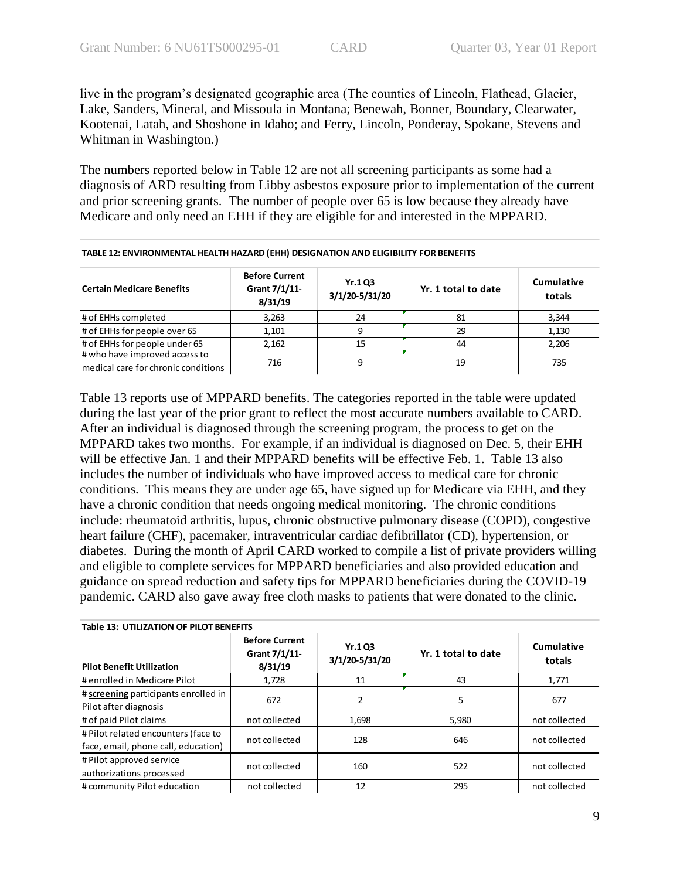live in the program's designated geographic area (The counties of Lincoln, Flathead, Glacier, Lake, Sanders, Mineral, and Missoula in Montana; Benewah, Bonner, Boundary, Clearwater, Kootenai, Latah, and Shoshone in Idaho; and Ferry, Lincoln, Ponderay, Spokane, Stevens and Whitman in Washington.)

The numbers reported below in Table 12 are not all screening participants as some had a diagnosis of ARD resulting from Libby asbestos exposure prior to implementation of the current and prior screening grants. The number of people over 65 is low because they already have Medicare and only need an EHH if they are eligible for and interested in the MPPARD.

| TABLE 12: ENVIRONMENTAL HEALTH HAZARD (EHH) DESIGNATION AND ELIGIBILITY FOR BENEFITS |                                                   |                                  |                     |                             |  |  |
|--------------------------------------------------------------------------------------|---------------------------------------------------|----------------------------------|---------------------|-----------------------------|--|--|
| <b>Certain Medicare Benefits</b>                                                     | <b>Before Current</b><br>Grant 7/1/11-<br>8/31/19 | <b>Yr.1 Q3</b><br>3/1/20-5/31/20 | Yr. 1 total to date | <b>Cumulative</b><br>totals |  |  |
| # of EHHs completed                                                                  | 3,263                                             | 24                               | 81                  | 3,344                       |  |  |
| # of EHHs for people over 65                                                         | 1,101                                             | 9                                | 29                  | 1,130                       |  |  |
| # of EHHs for people under 65                                                        | 2,162                                             | 15                               | 44                  | 2,206                       |  |  |
| # who have improved access to<br>medical care for chronic conditions                 | 716                                               | 9                                | 19                  | 735                         |  |  |

Table 13 reports use of MPPARD benefits. The categories reported in the table were updated during the last year of the prior grant to reflect the most accurate numbers available to CARD. After an individual is diagnosed through the screening program, the process to get on the MPPARD takes two months. For example, if an individual is diagnosed on Dec. 5, their EHH will be effective Jan. 1 and their MPPARD benefits will be effective Feb. 1. Table 13 also includes the number of individuals who have improved access to medical care for chronic conditions. This means they are under age 65, have signed up for Medicare via EHH, and they have a chronic condition that needs ongoing medical monitoring. The chronic conditions include: rheumatoid arthritis, lupus, chronic obstructive pulmonary disease (COPD), congestive heart failure (CHF), pacemaker, intraventricular cardiac defibrillator (CD), hypertension, or diabetes. During the month of April CARD worked to compile a list of private providers willing and eligible to complete services for MPPARD beneficiaries and also provided education and guidance on spread reduction and safety tips for MPPARD beneficiaries during the COVID-19 pandemic. CARD also gave away free cloth masks to patients that were donated to the clinic.

| <b>Table 13: UTILIZATION OF PILOT BENEFITS</b>                             |                                                   |                                  |                     |                      |  |
|----------------------------------------------------------------------------|---------------------------------------------------|----------------------------------|---------------------|----------------------|--|
| <b>Pilot Benefit Utilization</b>                                           | <b>Before Current</b><br>Grant 7/1/11-<br>8/31/19 | <b>Yr.1 Q3</b><br>3/1/20-5/31/20 | Yr. 1 total to date | Cumulative<br>totals |  |
| # enrolled in Medicare Pilot                                               | 1,728                                             | 11                               | 43                  | 1,771                |  |
| # screening participants enrolled in<br>Pilot after diagnosis              | 672                                               | 2                                | 5                   | 677                  |  |
| # of paid Pilot claims                                                     | not collected                                     | 1,698                            | 5,980               | not collected        |  |
| # Pilot related encounters (face to<br>face, email, phone call, education) | not collected                                     | 128                              | 646                 | not collected        |  |
| # Pilot approved service<br>authorizations processed                       | not collected                                     | 160                              | 522                 | not collected        |  |
| # community Pilot education                                                | not collected                                     | 12                               | 295                 | not collected        |  |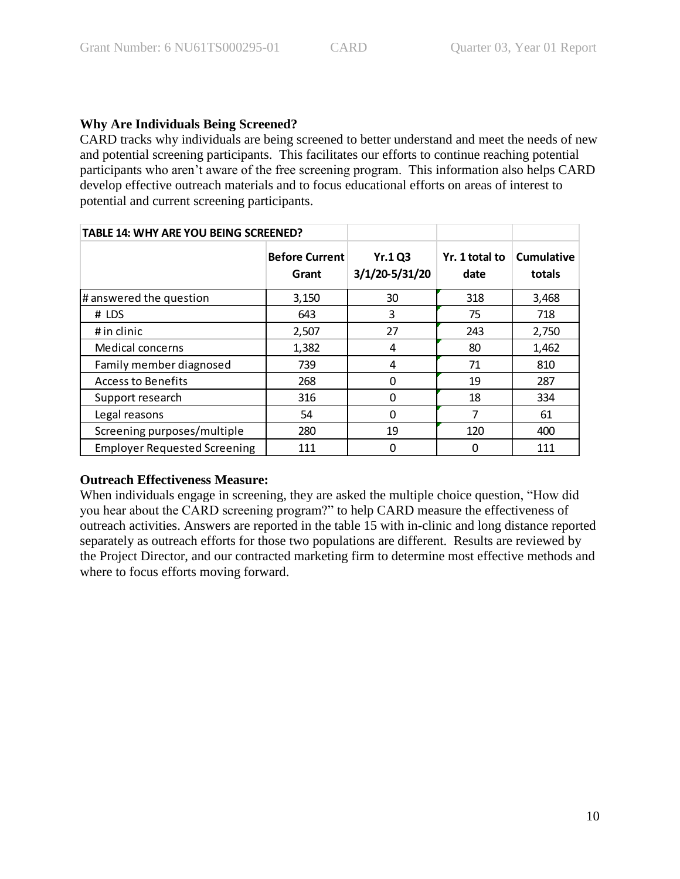# **Why Are Individuals Being Screened?**

CARD tracks why individuals are being screened to better understand and meet the needs of new and potential screening participants. This facilitates our efforts to continue reaching potential participants who aren't aware of the free screening program. This information also helps CARD develop effective outreach materials and to focus educational efforts on areas of interest to potential and current screening participants.

| TABLE 14: WHY ARE YOU BEING SCREENED? |                                |                                 |                        |                      |
|---------------------------------------|--------------------------------|---------------------------------|------------------------|----------------------|
|                                       | <b>Before Current</b><br>Grant | <b>Yr.1Q3</b><br>3/1/20-5/31/20 | Yr. 1 total to<br>date | Cumulative<br>totals |
| # answered the question               | 3,150                          | 30                              | 318                    | 3,468                |
| # LDS                                 | 643                            | 3                               | 75                     | 718                  |
| # in clinic                           | 2,507                          | 27                              | 243                    | 2,750                |
| <b>Medical concerns</b>               | 1,382                          | 4                               | 80                     | 1,462                |
| Family member diagnosed               | 739                            | 4                               | 71                     | 810                  |
| <b>Access to Benefits</b>             | 268                            | $\Omega$                        | 19                     | 287                  |
| Support research                      | 316                            | 0                               | 18                     | 334                  |
| Legal reasons                         | 54                             | 0                               | 7                      | 61                   |
| Screening purposes/multiple           | 280                            | 19                              | 120                    | 400                  |
| <b>Employer Requested Screening</b>   | 111                            | 0                               | 0                      | 111                  |

# **Outreach Effectiveness Measure:**

When individuals engage in screening, they are asked the multiple choice question, "How did you hear about the CARD screening program?" to help CARD measure the effectiveness of outreach activities. Answers are reported in the table 15 with in-clinic and long distance reported separately as outreach efforts for those two populations are different. Results are reviewed by the Project Director, and our contracted marketing firm to determine most effective methods and where to focus efforts moving forward.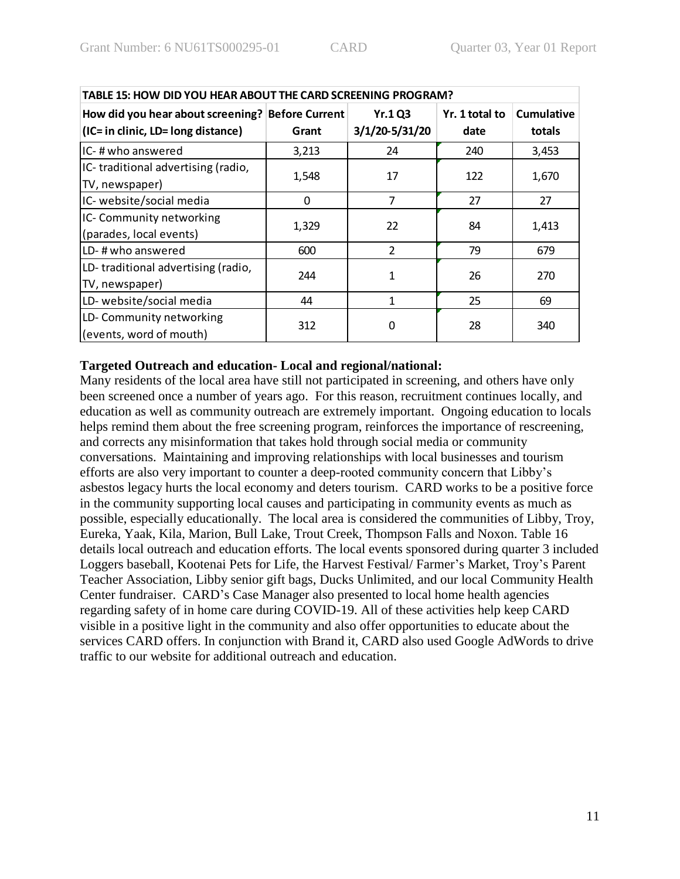| TABLE 15: HOW DID YOU HEAR ABOUT THE CARD SCREENING PROGRAM?                           |       |                          |                        |                             |  |  |
|----------------------------------------------------------------------------------------|-------|--------------------------|------------------------|-----------------------------|--|--|
| How did you hear about screening? Before Current<br>(IC= in clinic, LD= long distance) | Grant | Yr.1Q3<br>3/1/20-5/31/20 | Yr. 1 total to<br>date | <b>Cumulative</b><br>totals |  |  |
| IC-#who answered                                                                       | 3,213 | 24                       | 240                    | 3,453                       |  |  |
| IC-traditional advertising (radio,<br>TV, newspaper)                                   | 1,548 | 17                       | 122                    | 1,670                       |  |  |
| IC- website/social media                                                               | 0     | $\overline{7}$           | 27                     | 27                          |  |  |
| IC- Community networking<br>(parades, local events)                                    | 1,329 | 22                       | 84                     | 1,413                       |  |  |
| LD-#who answered                                                                       | 600   | $\overline{2}$           | 79                     | 679                         |  |  |
| LD-traditional advertising (radio,<br>TV, newspaper)                                   | 244   | $\mathbf{1}$             | 26                     | 270                         |  |  |
| LD- website/social media                                                               | 44    | 1                        | 25                     | 69                          |  |  |
| LD-Community networking<br>(events, word of mouth)                                     | 312   | ∩                        | 28                     | 340                         |  |  |

### **Targeted Outreach and education- Local and regional/national:**

Many residents of the local area have still not participated in screening, and others have only been screened once a number of years ago. For this reason, recruitment continues locally, and education as well as community outreach are extremely important. Ongoing education to locals helps remind them about the free screening program, reinforces the importance of rescreening, and corrects any misinformation that takes hold through social media or community conversations. Maintaining and improving relationships with local businesses and tourism efforts are also very important to counter a deep-rooted community concern that Libby's asbestos legacy hurts the local economy and deters tourism. CARD works to be a positive force in the community supporting local causes and participating in community events as much as possible, especially educationally. The local area is considered the communities of Libby, Troy, Eureka, Yaak, Kila, Marion, Bull Lake, Trout Creek, Thompson Falls and Noxon. Table 16 details local outreach and education efforts. The local events sponsored during quarter 3 included Loggers baseball, Kootenai Pets for Life, the Harvest Festival/ Farmer's Market, Troy's Parent Teacher Association, Libby senior gift bags, Ducks Unlimited, and our local Community Health Center fundraiser. CARD's Case Manager also presented to local home health agencies regarding safety of in home care during COVID-19. All of these activities help keep CARD visible in a positive light in the community and also offer opportunities to educate about the services CARD offers. In conjunction with Brand it, CARD also used Google AdWords to drive traffic to our website for additional outreach and education.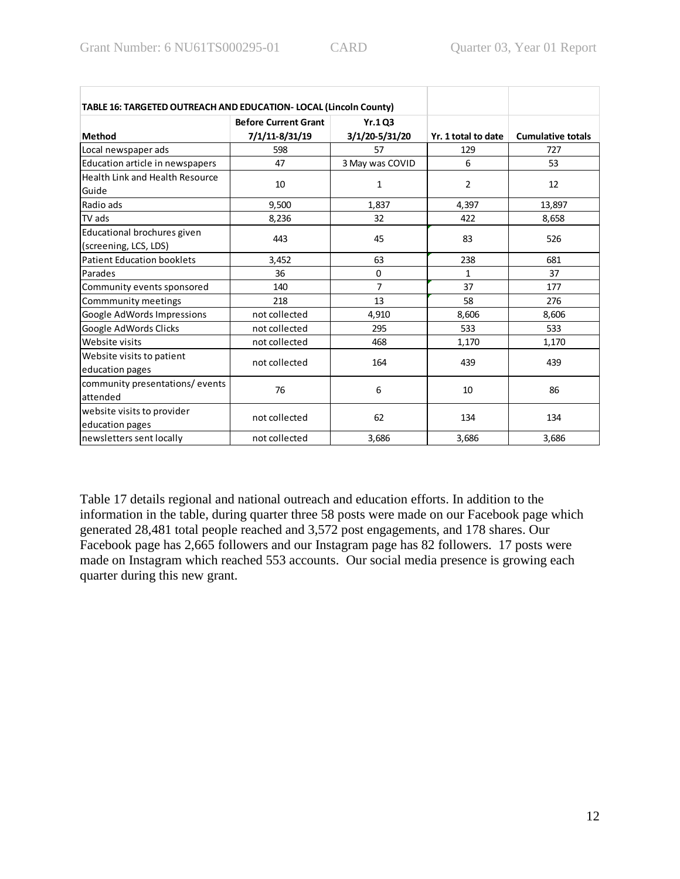| TABLE 16: TARGETED OUTREACH AND EDUCATION- LOCAL (Lincoln County) |                                               |                                 |                     |                          |
|-------------------------------------------------------------------|-----------------------------------------------|---------------------------------|---------------------|--------------------------|
| <b>Method</b>                                                     | <b>Before Current Grant</b><br>7/1/11-8/31/19 | <b>Yr.103</b><br>3/1/20-5/31/20 | Yr. 1 total to date | <b>Cumulative totals</b> |
| Local newspaper ads                                               | 598                                           | 57                              | 129                 | 727                      |
| Education article in newspapers                                   | 47                                            | 3 May was COVID                 | 6                   | 53                       |
| Health Link and Health Resource<br>Guide                          | 10                                            | 1                               | 2                   | 12                       |
| Radio ads                                                         | 9,500                                         | 1,837                           | 4,397               | 13,897                   |
| TV ads                                                            | 8,236                                         | 32                              | 422                 | 8,658                    |
| Educational brochures given<br>(screening, LCS, LDS)              | 443                                           | 45                              | 83                  | 526                      |
| <b>Patient Education booklets</b>                                 | 3,452                                         | 63                              | 238                 | 681                      |
| Parades                                                           | 36                                            | 0                               | 1                   | 37                       |
| Community events sponsored                                        | 140                                           | $\overline{7}$                  | 37                  | 177                      |
| Commmunity meetings                                               | 218                                           | 13                              | 58                  | 276                      |
| Google AdWords Impressions                                        | not collected                                 | 4,910                           | 8,606               | 8,606                    |
| Google AdWords Clicks                                             | not collected                                 | 295                             | 533                 | 533                      |
| Website visits                                                    | not collected                                 | 468                             | 1,170               | 1,170                    |
| Website visits to patient<br>education pages                      | not collected                                 | 164                             | 439                 | 439                      |
| community presentations/events<br>attended                        | 76                                            | 6                               | 10                  | 86                       |
| website visits to provider<br>education pages                     | not collected                                 | 62                              | 134                 | 134                      |
| newsletters sent locally                                          | not collected                                 | 3,686                           | 3,686               | 3,686                    |

Table 17 details regional and national outreach and education efforts. In addition to the information in the table, during quarter three 58 posts were made on our Facebook page which generated 28,481 total people reached and 3,572 post engagements, and 178 shares. Our Facebook page has 2,665 followers and our Instagram page has 82 followers. 17 posts were made on Instagram which reached 553 accounts. Our social media presence is growing each quarter during this new grant.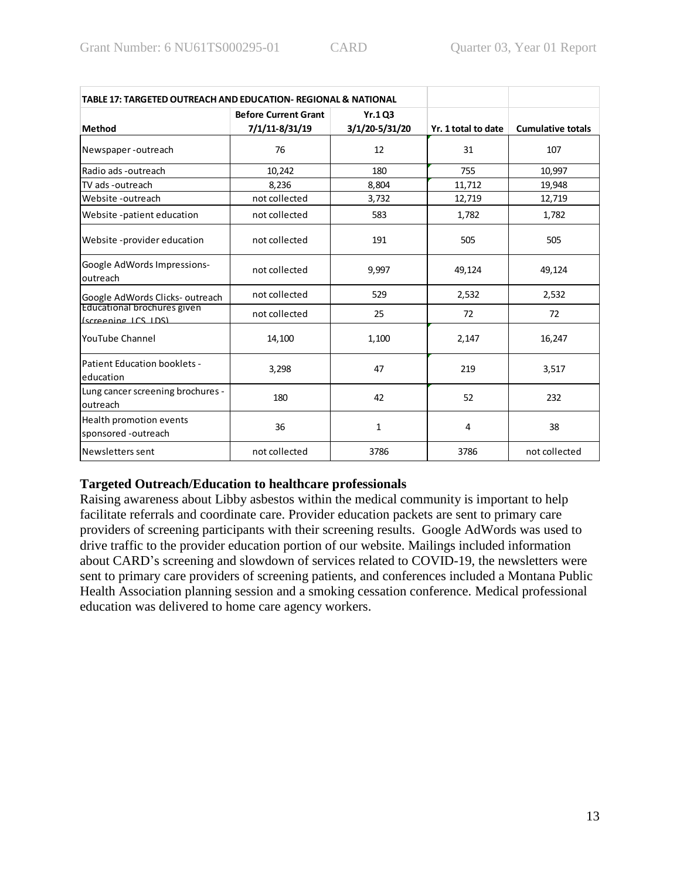| TABLE 17: TARGETED OUTREACH AND EDUCATION- REGIONAL & NATIONAL |                             |                |                     |                          |
|----------------------------------------------------------------|-----------------------------|----------------|---------------------|--------------------------|
|                                                                | <b>Before Current Grant</b> | <b>Yr.1 Q3</b> |                     |                          |
| Method                                                         | 7/1/11-8/31/19              | 3/1/20-5/31/20 | Yr. 1 total to date | <b>Cumulative totals</b> |
| Newspaper-outreach                                             | 76                          | 12             | 31                  | 107                      |
| Radio ads -outreach                                            | 10,242                      | 180            | 755                 | 10,997                   |
| TV ads -outreach                                               | 8,236                       | 8,804          | 11,712              | 19,948                   |
| Website -outreach                                              | not collected               | 3,732          | 12,719              | 12,719                   |
| Website -patient education                                     | not collected               | 583            | 1,782               | 1,782                    |
| Website -provider education                                    | not collected               | 191            | 505                 | 505                      |
| Google AdWords Impressions-<br>outreach                        | not collected               | 9,997          | 49,124              | 49,124                   |
| Google AdWords Clicks-outreach                                 | not collected               | 529            | 2,532               | 2,532                    |
| Educational brochures given<br>(screening LCS LDS)             | not collected               | 25             | 72                  | 72                       |
| <b>YouTube Channel</b>                                         | 14,100                      | 1,100          | 2,147               | 16,247                   |
| Patient Education booklets -<br>education                      | 3,298                       | 47             | 219                 | 3,517                    |
| Lung cancer screening brochures -<br>outreach                  | 180                         | 42             | 52                  | 232                      |
| Health promotion events<br>sponsored -outreach                 | 36                          | $\mathbf{1}$   | 4                   | 38                       |
| Newsletters sent                                               | not collected               | 3786           | 3786                | not collected            |

# **Targeted Outreach/Education to healthcare professionals**

Raising awareness about Libby asbestos within the medical community is important to help facilitate referrals and coordinate care. Provider education packets are sent to primary care providers of screening participants with their screening results. Google AdWords was used to drive traffic to the provider education portion of our website. Mailings included information about CARD's screening and slowdown of services related to COVID-19, the newsletters were sent to primary care providers of screening patients, and conferences included a Montana Public Health Association planning session and a smoking cessation conference. Medical professional education was delivered to home care agency workers.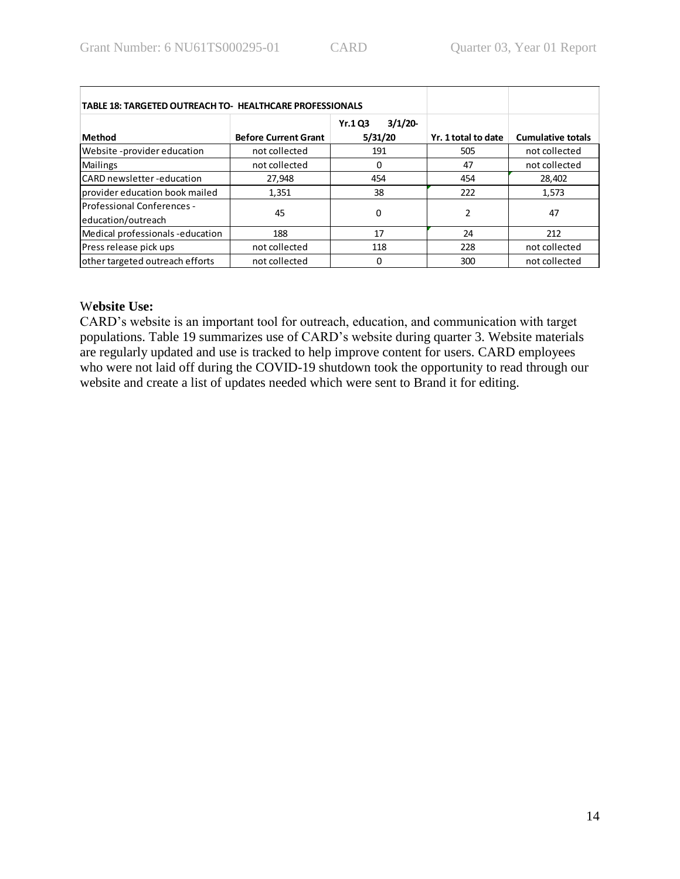| <b>TABLE 18: TARGETED OUTREACH TO- HEALTHCARE PROFESSIONALS</b> |                             |                                     |                     |                          |
|-----------------------------------------------------------------|-----------------------------|-------------------------------------|---------------------|--------------------------|
| <b>Method</b>                                                   | <b>Before Current Grant</b> | 3/1/20<br><b>Yr.1 Q3</b><br>5/31/20 | Yr. 1 total to date | <b>Cumulative totals</b> |
| Website - provider education                                    | not collected               | 191                                 | 505                 | not collected            |
| <b>Mailings</b>                                                 | not collected               | O                                   | 47                  | not collected            |
| ICARD newsletter -education                                     | 27,948                      | 454                                 | 454                 | 28,402                   |
| provider education book mailed                                  | 1,351                       | 38                                  | 222                 | 1,573                    |
| <b>IProfessional Conferences -</b><br>education/outreach        | 45                          | 0                                   | 2                   | 47                       |
| Medical professionals-education                                 | 188                         | 17                                  | 24                  | 212                      |
| Press release pick ups                                          | not collected               | 118                                 | 228                 | not collected            |
| other targeted outreach efforts                                 | not collected               | O                                   | 300                 | not collected            |

### W**ebsite Use:**

CARD's website is an important tool for outreach, education, and communication with target populations. Table 19 summarizes use of CARD's website during quarter 3. Website materials are regularly updated and use is tracked to help improve content for users. CARD employees who were not laid off during the COVID-19 shutdown took the opportunity to read through our website and create a list of updates needed which were sent to Brand it for editing.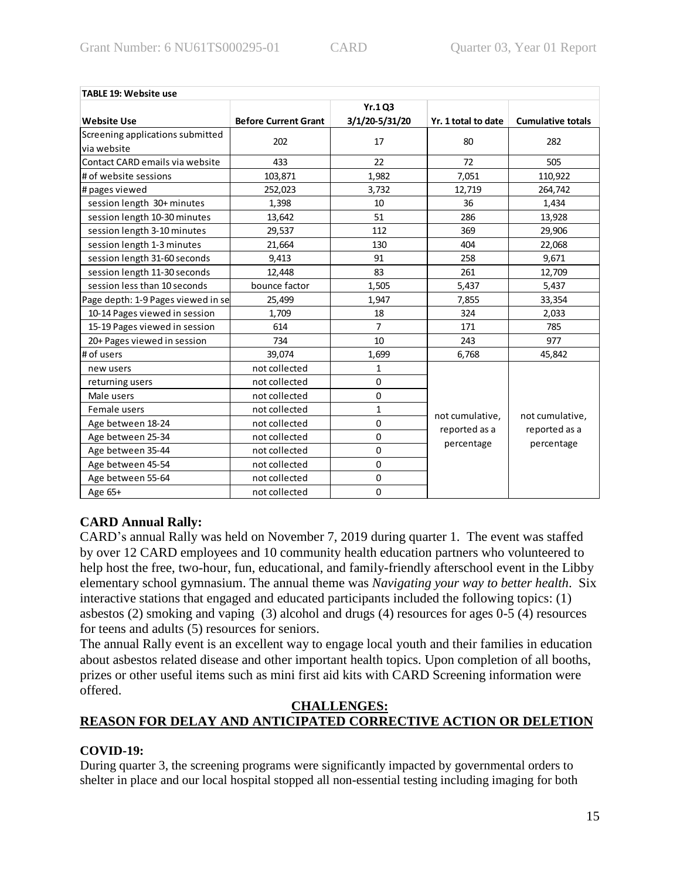| <b>TABLE 19: Website use</b>       |                             |                |                     |                                                |  |
|------------------------------------|-----------------------------|----------------|---------------------|------------------------------------------------|--|
|                                    |                             | Yr.1Q3         |                     |                                                |  |
| <b>Website Use</b>                 | <b>Before Current Grant</b> | 3/1/20-5/31/20 | Yr. 1 total to date | <b>Cumulative totals</b>                       |  |
| Screening applications submitted   | 202                         | 17             | 80                  | 282                                            |  |
| via website                        |                             |                |                     |                                                |  |
| Contact CARD emails via website    | 433                         | 22             | 72                  | 505                                            |  |
| # of website sessions              | 103,871                     | 1,982          | 7,051               | 110,922                                        |  |
| # pages viewed                     | 252,023                     | 3,732          | 12,719              | 264,742                                        |  |
| session length 30+ minutes         | 1,398                       | 10             | 36                  | 1,434                                          |  |
| session length 10-30 minutes       | 13,642                      | 51             | 286                 | 13,928                                         |  |
| session length 3-10 minutes        | 29,537                      | 112            | 369                 | 29,906                                         |  |
| session length 1-3 minutes         | 21,664                      | 130            | 404                 | 22,068                                         |  |
| session length 31-60 seconds       | 9,413                       | 91             | 258                 | 9,671                                          |  |
| session length 11-30 seconds       | 12,448                      | 83             | 261                 | 12,709                                         |  |
| session less than 10 seconds       | bounce factor               | 1,505          | 5,437               | 5,437                                          |  |
| Page depth: 1-9 Pages viewed in se | 25,499                      | 1,947          | 7,855               | 33,354                                         |  |
| 10-14 Pages viewed in session      | 1,709                       | 18             | 324                 | 2,033                                          |  |
| 15-19 Pages viewed in session      | 614                         | $\overline{7}$ | 171                 | 785                                            |  |
| 20+ Pages viewed in session        | 734                         | 10             | 243                 | 977                                            |  |
| # of users                         | 39,074                      | 1,699          | 6,768               | 45,842                                         |  |
| new users                          | not collected               | 1              |                     |                                                |  |
| returning users                    | not collected               | 0              |                     | not cumulative,<br>reported as a<br>percentage |  |
| Male users                         | not collected               | $\mathbf 0$    |                     |                                                |  |
| Female users                       | not collected               | $\mathbf{1}$   | not cumulative,     |                                                |  |
| Age between 18-24                  | not collected               | $\mathbf 0$    | reported as a       |                                                |  |
| Age between 25-34                  | not collected               | $\mathbf 0$    |                     |                                                |  |
| Age between 35-44                  | not collected               | $\mathbf 0$    | percentage          |                                                |  |
| Age between 45-54                  | not collected               | $\mathbf 0$    |                     |                                                |  |
| Age between 55-64                  | not collected               | $\mathbf 0$    |                     |                                                |  |
| Age 65+                            | not collected               | 0              |                     |                                                |  |

# **CARD Annual Rally:**

CARD's annual Rally was held on November 7, 2019 during quarter 1. The event was staffed by over 12 CARD employees and 10 community health education partners who volunteered to help host the free, two-hour, fun, educational, and family-friendly afterschool event in the Libby elementary school gymnasium. The annual theme was *Navigating your way to better health*. Six interactive stations that engaged and educated participants included the following topics: (1) asbestos (2) smoking and vaping (3) alcohol and drugs (4) resources for ages 0-5 (4) resources for teens and adults (5) resources for seniors.

The annual Rally event is an excellent way to engage local youth and their families in education about asbestos related disease and other important health topics. Upon completion of all booths, prizes or other useful items such as mini first aid kits with CARD Screening information were offered.

### **CHALLENGES:**

# **REASON FOR DELAY AND ANTICIPATED CORRECTIVE ACTION OR DELETION**

### **COVID-19:**

During quarter 3, the screening programs were significantly impacted by governmental orders to shelter in place and our local hospital stopped all non-essential testing including imaging for both